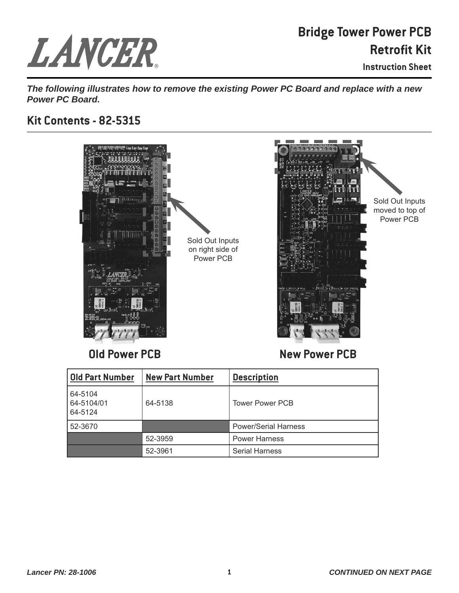## LANCER.

## **Bridge Tower Power PCB Retrofit Kit**

**Instruction Sheet**

*The following illustrates how to remove the existing Power PC Board and replace with a new Power PC Board.*

## **Kit Contents - 82-5315**



**Old Power PCB**

**New Power PCB**

| <b>Old Part Number</b>           | <b>New Part Number</b> | <b>Description</b>          |
|----------------------------------|------------------------|-----------------------------|
| 64-5104<br>64-5104/01<br>64-5124 | 64-5138                | <b>Tower Power PCB</b>      |
| 52-3670                          |                        | <b>Power/Serial Harness</b> |
|                                  | 52-3959                | <b>Power Harness</b>        |
|                                  | 52-3961                | <b>Serial Harness</b>       |